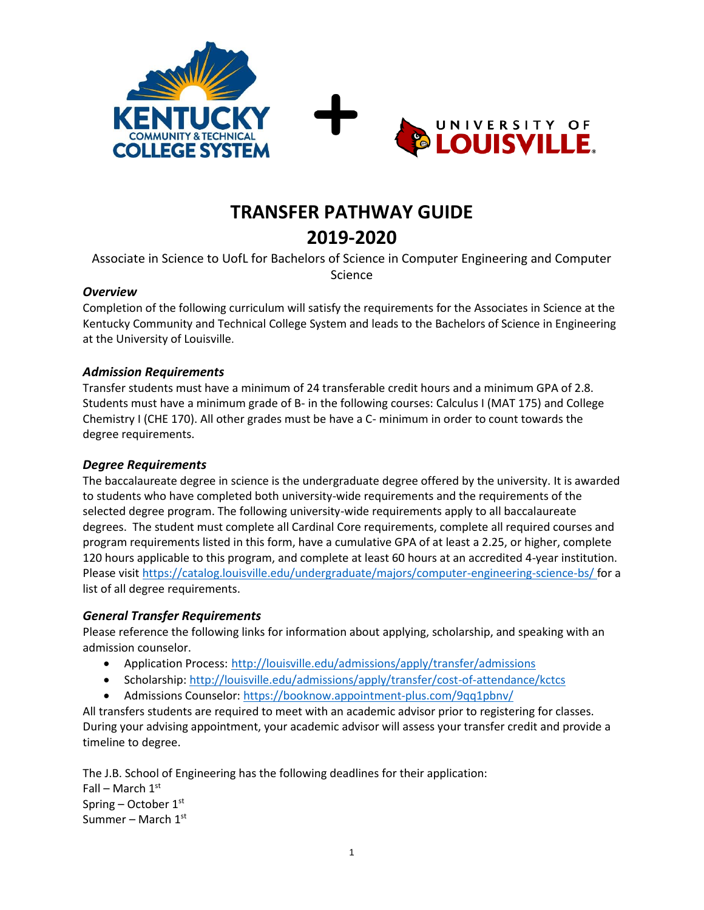



# **TRANSFER PATHWAY GUIDE 2019-2020**

Associate in Science to UofL for Bachelors of Science in Computer Engineering and Computer Science

#### *Overview*

Completion of the following curriculum will satisfy the requirements for the Associates in Science at the Kentucky Community and Technical College System and leads to the Bachelors of Science in Engineering at the University of Louisville.

### *Admission Requirements*

Transfer students must have a minimum of 24 transferable credit hours and a minimum GPA of 2.8. Students must have a minimum grade of B- in the following courses: Calculus I (MAT 175) and College Chemistry I (CHE 170). All other grades must be have a C- minimum in order to count towards the degree requirements.

### *Degree Requirements*

The baccalaureate degree in science is the undergraduate degree offered by the university. It is awarded to students who have completed both university-wide requirements and the requirements of the selected degree program. The following university-wide requirements apply to all baccalaureate degrees. The student must complete all Cardinal Core requirements, complete all required courses and program requirements listed in this form, have a cumulative GPA of at least a 2.25, or higher, complete 120 hours applicable to this program, and complete at least 60 hours at an accredited 4-year institution. Please visi[t https://catalog.louisville.edu/undergraduate/majors/computer-engineering-science-bs/](https://catalog.louisville.edu/undergraduate/majors/computer-engineering-science-bs/) for a list of all degree requirements.

### *General Transfer Requirements*

Please reference the following links for information about applying, scholarship, and speaking with an admission counselor.

- Application Process: http://louisville.edu/admissions/apply/transfer/admissions
- Scholarship[: http://louisville.edu/admissions/apply/transfer/cost-of-attendance/kctcs](http://louisville.edu/admissions/apply/transfer/cost-of-attendance/kctcs)
- Admissions Counselor[: https://booknow.appointment-plus.com/9qq1pbnv/](https://booknow.appointment-plus.com/9qq1pbnv/)

All transfers students are required to meet with an academic advisor prior to registering for classes. During your advising appointment, your academic advisor will assess your transfer credit and provide a timeline to degree.

The J.B. School of Engineering has the following deadlines for their application: Fall – March  $1<sup>st</sup>$ Spring – October 1st Summer – March  $1<sup>st</sup>$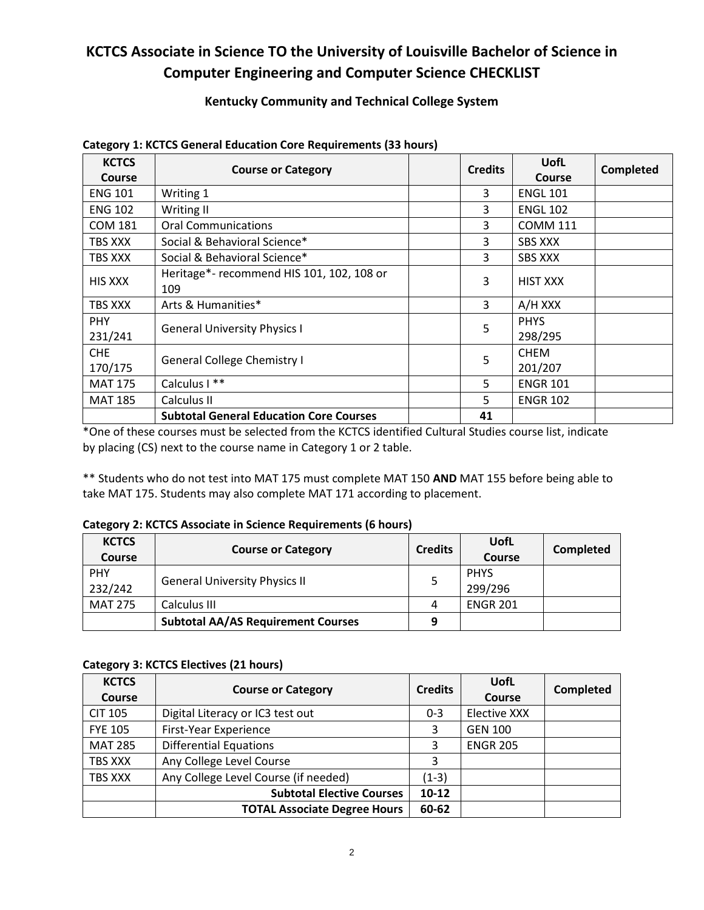## **KCTCS Associate in Science TO the University of Louisville Bachelor of Science in Computer Engineering and Computer Science CHECKLIST**

## **Kentucky Community and Technical College System**

| <b>KCTCS</b>   | <b>Course or Category</b>                      | <b>Credits</b> | <b>UofL</b>     | <b>Completed</b> |
|----------------|------------------------------------------------|----------------|-----------------|------------------|
| Course         |                                                |                | <b>Course</b>   |                  |
| <b>ENG 101</b> | Writing 1                                      | 3              | <b>ENGL 101</b> |                  |
| <b>ENG 102</b> | Writing II                                     | 3              | <b>ENGL 102</b> |                  |
| <b>COM 181</b> | <b>Oral Communications</b>                     | 3              | <b>COMM 111</b> |                  |
| TBS XXX        | Social & Behavioral Science*                   | 3              | <b>SBS XXX</b>  |                  |
| TBS XXX        | Social & Behavioral Science*                   | 3              | <b>SBS XXX</b>  |                  |
| <b>HIS XXX</b> | Heritage*- recommend HIS 101, 102, 108 or      | 3              | <b>HIST XXX</b> |                  |
|                | 109                                            |                |                 |                  |
| TBS XXX        | Arts & Humanities*                             | 3              | A/H XXX         |                  |
| <b>PHY</b>     |                                                | 5              | <b>PHYS</b>     |                  |
| 231/241        | <b>General University Physics I</b>            |                | 298/295         |                  |
| <b>CHE</b>     |                                                | 5              | <b>CHEM</b>     |                  |
| 170/175        | <b>General College Chemistry I</b>             |                | 201/207         |                  |
| <b>MAT 175</b> | Calculus I **                                  | 5              | <b>ENGR 101</b> |                  |
| <b>MAT 185</b> | Calculus II                                    | 5.             | <b>ENGR 102</b> |                  |
|                | <b>Subtotal General Education Core Courses</b> | 41             |                 |                  |

#### **Category 1: KCTCS General Education Core Requirements (33 hours)**

\*One of these courses must be selected from the KCTCS identified Cultural Studies course list, indicate by placing (CS) next to the course name in Category 1 or 2 table.

\*\* Students who do not test into MAT 175 must complete MAT 150 **AND** MAT 155 before being able to take MAT 175. Students may also complete MAT 171 according to placement.

#### **Category 2: KCTCS Associate in Science Requirements (6 hours)**

| <b>KCTCS</b><br><b>Course</b> | <b>Course or Category</b>                 | <b>Credits</b> | UofL<br><b>Course</b>  | <b>Completed</b> |
|-------------------------------|-------------------------------------------|----------------|------------------------|------------------|
| <b>PHY</b><br>232/242         | <b>General University Physics II</b>      |                | <b>PHYS</b><br>299/296 |                  |
| <b>MAT 275</b>                | Calculus III                              | 4              | <b>ENGR 201</b>        |                  |
|                               | <b>Subtotal AA/AS Requirement Courses</b> | 9              |                        |                  |

#### **Category 3: KCTCS Electives (21 hours)**

| <b>KCTCS</b><br>Course | <b>Course or Category</b>            | <b>Credits</b> | UofL<br>Course      | <b>Completed</b> |
|------------------------|--------------------------------------|----------------|---------------------|------------------|
| <b>CIT 105</b>         | Digital Literacy or IC3 test out     | $0 - 3$        | <b>Elective XXX</b> |                  |
| <b>FYE 105</b>         | First-Year Experience                | 3              | <b>GEN 100</b>      |                  |
| <b>MAT 285</b>         | <b>Differential Equations</b>        | 3              | <b>ENGR 205</b>     |                  |
| TBS XXX                | Any College Level Course             | 3              |                     |                  |
| TBS XXX                | Any College Level Course (if needed) | $(1-3)$        |                     |                  |
|                        | <b>Subtotal Elective Courses</b>     | $10-12$        |                     |                  |
|                        | <b>TOTAL Associate Degree Hours</b>  | 60-62          |                     |                  |